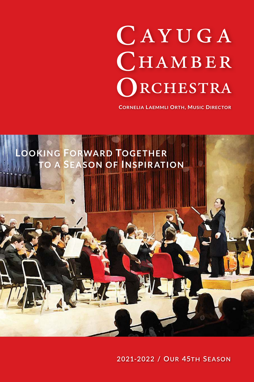# CAYUGA CHAMBER RCHESTRA

**CORNELIA LAEMMLI ORTH. MUSIC DIRECTOR** 



2021-2022 / OUR 45TH SEASON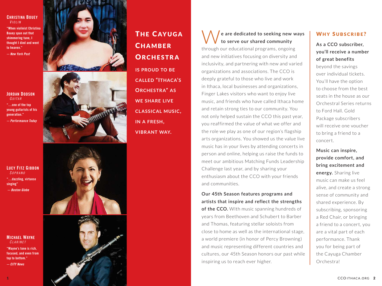#### **CHRISTINA BOUEY**  $V$  $I$  $O$  $I$  $I$  $N$

**"When violinist Christina Bouey spun out that shimmering tune, I thought I died and went to heaven."**

**— New York Post**

### **JORDAN DODSON** GUITAR

**"…one of the top young guitarists of his generation." — Performance Today**

**LUCY FITZ GIBBON** S O P R A N O

**"…dazzling, virtuoso singing" — Boston Globe**

#### **MICHAEL WAYNE CLARINET**

**"Wayne's tone is rich, focused, and even from top to bottom." — CITY News**





**THE CAYUGA** CHAMBER **ORCHESTRA is prouD to be CalleD "ithaCa ' s orChestr a" a s we share live Cl a ssiCal musiC, in a Fresh,** 

**vibr ant way .**

W**e are dedicated to seeking new ways to serve our shared community**  through our educational programs, ongoing and new initiatives focusing on diversity and inclusivity, and partnering with new and varied organizations and associations. The CCO is deeply grateful to those who live and work in Ithaca, local businesses and organizations, Finger Lakes visitors who want to enjoy live music, and friends who have called Ithaca home and retain strong ties to our community. You not only helped sustain the CCO this past year, you reaffirmed the value of what we offer and the role we play as one of our region's flagship arts organizations. You showed us the value live music has in your lives by attending concerts in person and online, helping us raise the funds to meet our ambitious Matching Funds Leadership Challenge last year, and by sharing your

**Our 45th Season features programs and artists that inspire and reflect the strengths of the CCO.** With music spanning hundreds of years from Beethoven and Schubert to Barber and Thomas, featuring stellar soloists from close to home as well as the international stage, a world premiere (in honor of Percy Browning) and music representing different countries and cultures, our 45th Season honors our past while inspiring us to reach ever higher.

enthusiasm about the CCO with your friends

and communities.

# WHY SUBSCRIBE?

# **As a CCO subscriber, you'll receive a number of great benefits**

beyond the savings over individual tickets. You'll have the option to choose from the best seats in the house as our Orchestral Series returns to Ford Hall. Gold Package subscribers will receive one voucher to bring a friend to a concert.

**Music can inspire, provide comfort, and bring excitement and energy.** Sharing live music can make us feel alive, and create a strong sense of community and shared experience. By subscribing, sponsoring a Red Chair, or bringing a friend to a concert, you are a vital part of each performance. Thank you for being part of the Cayuga Chamber Orchestra!



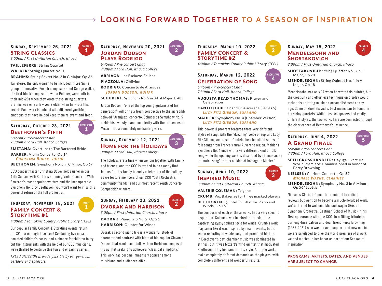# **LOOKING FORWARD TOGETHER TO A SEASON OF INSPIRATION**

# **SUNDAY, SEPTEMBER 26, 2021** sTring ClassiCs

*3:00pm / First Unitarian Church, Ithaca*

TAILLEFERRE: String Quartet

WALKER: String Quartet No. 1

BRAHMS: String Sextet No. 2 in G Major, Op 36

Tailleferre, the only woman to be included in Les Six (a group of innovative French composers) and George Walker, the first black composer to win a Pulitzer, were both in their mid-20s when they wrote these string quartets. Brahms was only a few years older when he wrote this sextet. Each work is imbued with different youthful emotions that have helped keep them relevant and fresh.

**ORCHESTRAL** 1

**FAMILY** 1

**CHAMBER** 1

## **SATURDAY, OCTOBER 23, 2021 BEETHOVEN'S FIFTH**

*6:45pm / Pre-concert Chat 7:30pm / Ford Hall, Ithaca College*

SMETANA: Overture to The Bartered Bride

BARBER: Violin Concerto, Op 14 *Christina Bouey, violin*

BEETHOVEN: Symphony No. 5 in C Minor, Op 67

CCO concertmaster Christina Bouey helps usher in our 45th Season with Barber's stunning Violin Concerto. With Smetana's most popular overture and the incomparable Symphony No. 5 by Beethoven, you won't want to miss this powerful return of the full orchestra.

#### **THURSDAY, NOVEMBER 18, 2021 FAMILY CONCERT &** STORYTIME #1

*4:00pm / Tompkins County Public Library (TCPL)*

Our popular Family Concert & Storytime events return to TCPL for our eighth season! Combining live music, narrated children's books, and a chance for children to try out the instruments with the help of our CCO musicians, we're thrilled to continue this fun and engaging series.

*FREE ADMISSION is made possible by our generous partners and sponsors.*

# **SATURDAY, NOVEMBER 20, 2021 JORDAN DODSON PLAYS RODRIGO**

*6:45pm / Pre-concert Chat 7:30pm / Ford Hall, Ithaca College*

ARRIAGA: Los Esclavos Felices

PIAZZOLLA: Oblivion

RODRIGO: Concierto de Aranjuez *Jordan dodson, guitar*

SCHUBERT: Symphony No. 5 in B-flat Major, D 485

**ORCHESTRAL** 2

3

**CHAMBER** 2

Jordon Dodson, "one of the top young guitarists of his generation" will bring a fresh perspective to the incredibly beloved "Aranjuez" concerto. Schubert's Symphony No. 5 melds his own style and complexity with the influences of Mozart into a completely enchanting work.

**SUNDAY, DECEMBER 12, 2021** HOME FOR THE HOLIDAYS *3:00pm / Ford Hall, Ithaca College* **ORCHESTRAL**

The holidays are a time when we join together with family and friends, and the CCO is excited to do exactly that. Join us for this family-friendly celebration of the holidays as we feature members of our CCO Youth Orchestra, community friends, and our most recent Youth Concerto Competition winners.

**SUNDAY, FEBRUARY 20, 2022** DVORAK AND HARBISON

*3:00pm / First Unitarian Church, Ithaca* DVORAK: Piano Trio No. 2, Op 26

HARBISON: Quintet for Winds

Dvorak's second piano trio is a wonderful study of character and contrast with hints of his popular Slavonic Dances that would soon follow. John Harbison composed his quintet seeking to achieve a "classical simplicity." This work has become immensely popular among musicians and audiences alike.

# **THURSDAY, MARCH 10, 2022 FAMILY CONCERT &** STORYTIME #2



**ORCHESTRAL** 4

**CHAMBER** 3

*4:00pm / Tompkins County Public Library (TCPL)*

# **SATURDAY, MARCH 12, 2022** CelebraTiOn Of sOng

*6:45pm / Pre-concert Chat 7:30pm / Ford Hall, Ithaca College*

AUGUSTA READ THOMAS: Prayer and Celebration

CANTELOUBE: Chants D'Auvergne (Series 5) *luCy Fitz giBBon, soprano*

MAHLER: Symphony No. 4 (Chamber Version) *luCy Fitz giBBon, soprano*

This powerful program features three very different styles of song. With the "dazzling" voice of soprano Lucy Fitz Gibbon, we present Canteloube's beautiful series of folk songs from France's rural Auvergne region. Mahler's Symphony No. 4 ends with a very different kind of folk song while the opening work is described by Thomas as an intimate "song" that is a "kind of homage to Mahler."

# **SUNDAY, APRIL 10, 2022** insPired musiC

*3:00pm / First Unitarian Church, Ithaca*

#### VALERIE COLEMAN: Tzigane

CRUMB: Vox Balaenae for three masked players

BEETHOVEN: Quintet in E-flat for Piano and Winds, Op 16

The composer of each of these works had a very specific inspiration. Coleman was inspired to translate the captivating gypsy strings style for winds. Crumb's work may seem like it was inspired by recent events, but it was a recording of whale song that prompted his trio. In Beethoven's day, chamber music was dominated by strings, but it was Mozart's wind quintet that motivated Beethoven to try his hand at this style. All three works make completely different demands on the players, with completely different and wonderful results.

# **SUNDAY, MAY 15, 2022** mendelssOhn and **SHOSTAKOVICH**

*3:00pm / First Unitarian Church, Ithaca*

- SHOSTAKOVICH: String Quartet No. 3 in F Major, Op 73
- MENDELSSOHN: String Quintet No. 1 in A Major, Op 18

Mendelssohn was only 17 when he wrote this quintet, but the creativity and effortless technique on display would make this uplifting music an accomplishment at any age. Some of Shostakovich's best music can be found in his string quartets. While these composers had vastly different styles, the two works here are connected through the clear echoes of Beethoven's influence.

# **SATURDAY, JUNE 4, 2022** a grand finale



**CHAMBER**  $\Delta$ 

#### *6:45pm / Pre-concert Chat 7:30pm / Ford Hall, Ithaca College*

SETH GROSSHANDLER: Cayuga Overture World Premiere! Commissioned in honor of Percy Browning

NIELSEN: Clarinet Concerto, Op 57 *MiChael Wayne, Clarinet*

MENDELSSOHN: Symphony No. 3 in A Minor, Op 56 "Scottish"

Nielsen's Clarinet Concerto premiered to critical reviews but went on to become a much-heralded work. We're thrilled to welcome Michael Wayne (Boston Symphony Orchestra, Eastman School of Music) in his first appearance with the CCO. In a fitting tribute to our long-time patron and dear friend Percy Browning (1935-2021) who was an avid supporter of new music, we are privileged to give the world premiere of a work we had written in her honor as part of our Season of Inspiration.

#### **PROGRAMS, ARTISTS, DATES, AND VENUES ARE SUBJECT TO CHANGE.**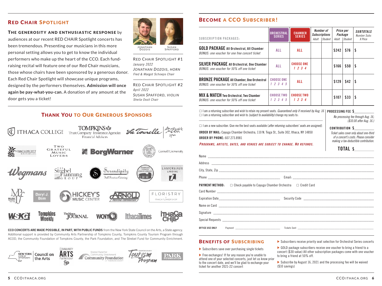# **RED CHAIR SPOTLIGHT**

#### THE GENEROSITY AND ENTHUSIASTIC RESPONSE by

audiences at our recent RED CHAIR Spotlight concerts has been tremendous. Presenting our musicians in this more personal setting allows you to get to know the individual performers who make up the heart of the CCO. Each fundraising recital will feature one of our Red Chair musicians, those whose chairs have been sponsored by a generous donor. Each Red Chair Spotlight will showcase unique programs, designed by the performers themselves. **Admission will once again be pay-what-you-can.** A donation of any amount at the door gets you a ticket!



Dozois SPAFFORD

Red ChaiR Spotlight #1 *January 2022 Jo n ath a n Dozois, h orn* Fred & Margot Schoeps Chair

Red ChaiR Spotlight #2 *April 2022 sus a n spa fforD, vio lin* Sheila Ossit Chair

# **THANK YOU TO OUR GENEROUS SPONSORS**





# **BECOME A CCO SUBSCRIBER!**

| <b>SUBSCRIPTION PACKAGES:</b>                                                                     | <b>ORCHESTRAL</b><br><b>SERIES</b> | <b>CHAMBER</b><br><b>SERIES</b>      | Number of<br><b>Subscriptions</b><br>Student<br>Adult | Price per<br>Package<br>Adult<br><b>Student</b> | <b>SUBTOTALS</b><br>Number Subs<br>X Price |
|---------------------------------------------------------------------------------------------------|------------------------------------|--------------------------------------|-------------------------------------------------------|-------------------------------------------------|--------------------------------------------|
| <b>GOLD PACKAGE All Orchestral, All Chamber</b><br>BONUS: one voucher for one free concert ticket | ALL                                | ALL                                  |                                                       | \$242<br>\$76                                   | S                                          |
| <b>SILVER PACKAGE All Orchestral, One Chamber</b><br>BONUS: one voucher for 50% off one ticket    | <b>ALL</b>                         | <b>CHOOSE ONE</b><br>1234            |                                                       | \$166<br>\$50                                   |                                            |
| <b>BRONZE PACKAGE All Chamber, One Orchestral</b><br>BONUS: one voucher for 50% off one ticket    | <b>CHOOSE ONE</b><br>1 2 3 4 5     | ALL                                  |                                                       | \$129<br>\$42                                   |                                            |
| <b>MIX &amp; MATCH Two Orchestral, Two Chamber</b><br>BONUS: one voucher for 50% off one ticket   | <b>CHOOSE TWO</b><br>1 2 3 4 5     | <b>CHOOSE TWO</b><br>$1 \t2 \t3 \t4$ |                                                       | \$107<br>\$33                                   |                                            |

 $\Box$  I am a returning subscriber and wish to retain my present seats. Guaranteed only if received by Aug. 16 | **PROCESSING FEE \$** □ I am a returning subscriber and wish to *(subject to availability)* change my seats to:

*No processing fee through Aug. 16;*  \_\_\_\_\_\_\_\_\_\_\_\_\_\_\_\_\_\_\_\_\_\_\_\_\_\_\_\_\_\_\_\_\_\_\_\_\_\_\_\_\_\_\_\_\_\_\_\_\_\_\_\_\_\_\_\_\_\_\_\_\_\_\_\_\_\_\_\_\_\_

*(\$10.00 after Aug. 16.)*

**CONTRIBUTION \$** 

α a returning subscriber and wish to retain my present seats. *Guaranteed only if received by Aug. 16* **PROCESSING FEE \$**<br>
α l am a returning subscriber and wish to *(subject to availability)* change my seats to:<br>
<br> **ORD** □ I am a new subscriber. Give me the best seats available (*after returning subscribers' seats are assigned)*. **ORDER BY MAIL:** Cayuga Chamber Orchestra, 110 N. Tioga St., Suite 302, Ithaca, NY 14850 **ORDER BY PHONE:** 607.273.8981

*Ticket sales cover only about one-third of a concert's costs. Please consider making a tax-deductible contribution.*

#### **PROGRAMS, ARTISTS, DATES, AND VENUES ARE SUBJECT TO CHANGE. NO REFUNDS.**

| <b>PAYMENT METHOD:</b> □ Check payable to Cayuga Chamber Orchestra □ Credit Card |
|----------------------------------------------------------------------------------|
|                                                                                  |
|                                                                                  |
|                                                                                  |
|                                                                                  |
|                                                                                  |
|                                                                                  |
|                                                                                  |

#### **BENEFITS OF SUBSCRIBING**

 $\triangleright$  Subscribers save over purchasing single tickets

Free exchanges! If for any reason you're unable to attend one of your selected concerts, just let us know prior to the concert date, and we'll be glad to exchange your ticket for another 2021-22 concert

Subscribers receive priority seat selection for Orchestral Series concerts

GOLD package subscribers receive one voucher to bring a friend to a concert (\$30 value) All other subscription packages come with one voucher to bring a friend at 50% off.

 $\triangleright$  Subscribe by August 16, 2021 and the processing fee will be waived (\$10 savings)